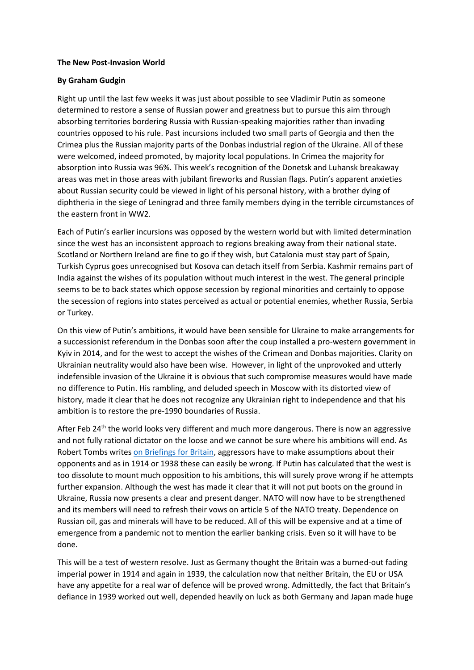## **The New Post-Invasion World**

## **By Graham Gudgin**

Right up until the last few weeks it was just about possible to see Vladimir Putin as someone determined to restore a sense of Russian power and greatness but to pursue this aim through absorbing territories bordering Russia with Russian-speaking majorities rather than invading countries opposed to his rule. Past incursions included two small parts of Georgia and then the Crimea plus the Russian majority parts of the Donbas industrial region of the Ukraine. All of these were welcomed, indeed promoted, by majority local populations. In Crimea the majority for absorption into Russia was 96%. This week's recognition of the Donetsk and Luhansk breakaway areas was met in those areas with jubilant fireworks and Russian flags. Putin's apparent anxieties about Russian security could be viewed in light of his personal history, with a brother dying of diphtheria in the siege of Leningrad and three family members dying in the terrible circumstances of the eastern front in WW2.

Each of Putin's earlier incursions was opposed by the western world but with limited determination since the west has an inconsistent approach to regions breaking away from their national state. Scotland or Northern Ireland are fine to go if they wish, but Catalonia must stay part of Spain, Turkish Cyprus goes unrecognised but Kosova can detach itself from Serbia. Kashmir remains part of India against the wishes of its population without much interest in the west. The general principle seems to be to back states which oppose secession by regional minorities and certainly to oppose the secession of regions into states perceived as actual or potential enemies, whether Russia, Serbia or Turkey.

On this view of Putin's ambitions, it would have been sensible for Ukraine to make arrangements for a successionist referendum in the Donbas soon after the coup installed a pro-western government in Kyiv in 2014, and for the west to accept the wishes of the Crimean and Donbas majorities. Clarity on Ukrainian neutrality would also have been wise. However, in light of the unprovoked and utterly indefensible invasion of the Ukraine it is obvious that such compromise measures would have made no difference to Putin. His rambling, and deluded speech in Moscow with its distorted view of history, made it clear that he does not recognize any Ukrainian right to independence and that his ambition is to restore the pre-1990 boundaries of Russia.

After Feb 24<sup>th</sup> the world looks very different and much more dangerous. There is now an aggressive and not fully rational dictator on the loose and we cannot be sure where his ambitions will end. As Robert Tombs writes [on Briefings for Britain,](https://www.briefingsforbritain.co.uk/the-new-post-invasion-world/) aggressors have to make assumptions about their opponents and as in 1914 or 1938 these can easily be wrong. If Putin has calculated that the west is too dissolute to mount much opposition to his ambitions, this will surely prove wrong if he attempts further expansion. Although the west has made it clear that it will not put boots on the ground in Ukraine, Russia now presents a clear and present danger. NATO will now have to be strengthened and its members will need to refresh their vows on article 5 of the NATO treaty. Dependence on Russian oil, gas and minerals will have to be reduced. All of this will be expensive and at a time of emergence from a pandemic not to mention the earlier banking crisis. Even so it will have to be done.

This will be a test of western resolve. Just as Germany thought the Britain was a burned-out fading imperial power in 1914 and again in 1939, the calculation now that neither Britain, the EU or USA have any appetite for a real war of defence will be proved wrong. Admittedly, the fact that Britain's defiance in 1939 worked out well, depended heavily on luck as both Germany and Japan made huge